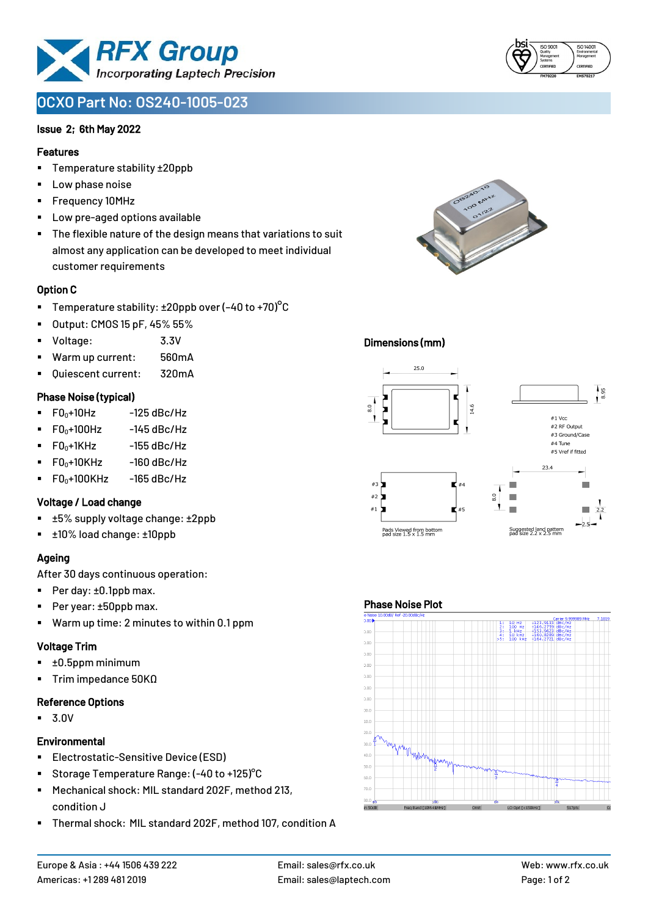

# **OCXO Part No: OS240-1005-023**

#### Issue 2; 6th May 2022

#### Features

- Temperature stability ±20ppb
- Low phase noise
- Frequency 10MHz
- Low pre-aged options available
- The flexible nature of the design means that variations to suit almost any application can be developed to meet individual customer requirements

# Option C

- **•** Temperature stability:  $\pm 20$ ppb over (-40 to +70)<sup>o</sup>C
- Output: CMOS 15 pF, 45% 55%
- Voltage: 3.3V
- Warm up current: 560mA
- Ouiescent current: 320mA

# Phase Noise (typical)

- $\blacksquare$  F0 $\scriptstyle\bullet$ +10Hz -125 dBc/Hz
- $FO<sub>0</sub>+100Hz$  -145 dBc/Hz
- $F0_0+1$ KHz  $-155$  dBc/Hz
- $F0_0+10K$ Hz  $-160$  dBc/Hz
- $\blacksquare$  F0<sub>0</sub>+100KHz -165 dBc/Hz

# Voltage / Load change

- ±5% supply voltage change: ±2ppb
- ±10% load change: ±10ppb

# Ageing

After 30 days continuous operation:

- Per day: ±0.1ppb max.
- Per year: ±50ppb max.
- Warm up time: 2 minutes to within 0.1 ppm

# Voltage Trim

- $\blacksquare$   $\pm 0.5$ ppm minimum
- Trim impedance 50KΩ

#### Reference Options

▪ 3.0V

#### **Environmental**

- **Electrostatic-Sensitive Device (ESD)**
- Storage Temperature Range: (-40 to +125) °C
- Mechanical shock: MIL standard 202F, method 213, condition J
- Thermal shock: MIL standard 202F, method 107, condition A





# Dimensions (mm)



# Phase Noise Plot